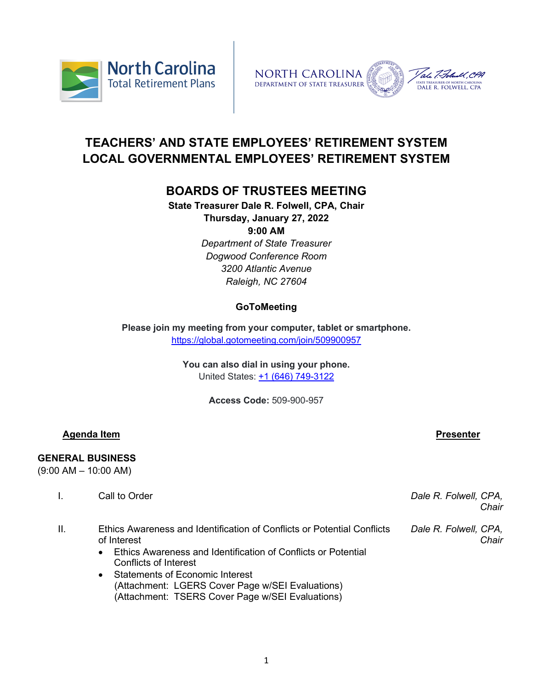



# **TEACHERS' AND STATE EMPLOYEES' RETIREMENT SYSTEM LOCAL GOVERNMENTAL EMPLOYEES' RETIREMENT SYSTEM**

# **BOARDS OF TRUSTEES MEETING**

**State Treasurer Dale R. Folwell, CPA, Chair Thursday, January 27, 2022**

**9:00 AM**

*Department of State Treasurer Dogwood Conference Room 3200 Atlantic Avenue Raleigh, NC 27604*

## **GoToMeeting**

**Please join my meeting from your computer, tablet or smartphone.** <https://global.gotomeeting.com/join/509900957>

> **You can also dial in using your phone.** United States: [+1 \(646\) 749-3122](tel:+16467493122,,509900957)

> > **Access Code:** 509-900-957

## **Agenda Item Presenter**

## **GENERAL BUSINESS**

(9:00 AM – 10:00 AM)

| Call to Order |
|---------------|
|---------------|

Dale R. Folwell, CPA, *Chair*

- II. Ethics Awareness and Identification of Conflicts or Potential Conflicts of Interest *Dale R. Folwell, CPA, Chair*
	- Ethics Awareness and Identification of Conflicts or Potential Conflicts of Interest
	- Statements of Economic Interest (Attachment: LGERS Cover Page w/SEI Evaluations) (Attachment: TSERS Cover Page w/SEI Evaluations)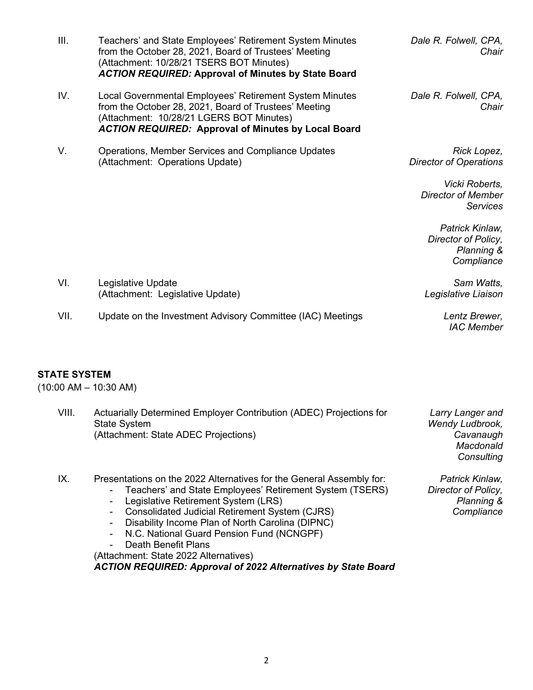|                     | from the October 28, 2021, Board of Trustees' Meeting<br>(Attachment: 10/28/21 TSERS BOT Minutes)<br><b>ACTION REQUIRED: Approval of Minutes by State Board</b>                                                                                                                                                          | Chair                                                                         |
|---------------------|--------------------------------------------------------------------------------------------------------------------------------------------------------------------------------------------------------------------------------------------------------------------------------------------------------------------------|-------------------------------------------------------------------------------|
| IV.                 | Local Governmental Employees' Retirement System Minutes<br>from the October 28, 2021, Board of Trustees' Meeting<br>(Attachment: 10/28/21 LGERS BOT Minutes)<br><b>ACTION REQUIRED: Approval of Minutes by Local Board</b>                                                                                               | Dale R. Folwell, CPA,<br>Chair                                                |
| V.                  | Operations, Member Services and Compliance Updates<br>(Attachment: Operations Update)                                                                                                                                                                                                                                    | Rick Lopez,<br><b>Director of Operations</b>                                  |
|                     |                                                                                                                                                                                                                                                                                                                          | Vicki Roberts,<br><b>Director of Member</b><br><b>Services</b>                |
|                     |                                                                                                                                                                                                                                                                                                                          | Patrick Kinlaw,<br>Director of Policy,<br><b>Planning &amp;</b><br>Compliance |
| VI.                 | Legislative Update<br>(Attachment: Legislative Update)                                                                                                                                                                                                                                                                   | Sam Watts,<br>Legislative Liaison                                             |
| VII.                | Update on the Investment Advisory Committee (IAC) Meetings                                                                                                                                                                                                                                                               | Lentz Brewer,<br><b>IAC Member</b>                                            |
| <b>STATE SYSTEM</b> | $(10:00$ AM $- 10:30$ AM)                                                                                                                                                                                                                                                                                                |                                                                               |
| VIII.               | Actuarially Determined Employer Contribution (ADEC) Projections for<br><b>State System</b><br>(Attachment: State ADEC Projections)                                                                                                                                                                                       | Larry Langer and<br>Wendy Ludbrook,<br>Cavanaugh<br>Macdonald<br>Consulting   |
| IX.                 | Presentations on the 2022 Alternatives for the General Assembly for:<br>Teachers' and State Employees' Retirement System (TSERS)<br>Legislative Retirement System (LRS)<br>$\overline{a}$<br><b>Consolidated Judicial Retirement System (CJRS)</b><br>Disability Income Plan of North Carolina (DIPNC)<br>$\blacksquare$ | Patrick Kinlaw,<br>Director of Policy,<br>Planning &<br>Compliance            |

*Dale R. Folwell, CPA,* 

- N.C. National Guard Pension Fund (NCNGPF)

III. Teachers' and State Employees' Retirement System Minutes

- Death Benefit Plans

(Attachment: State 2022 Alternatives)

*ACTION REQUIRED: Approval of 2022 Alternatives by State Board*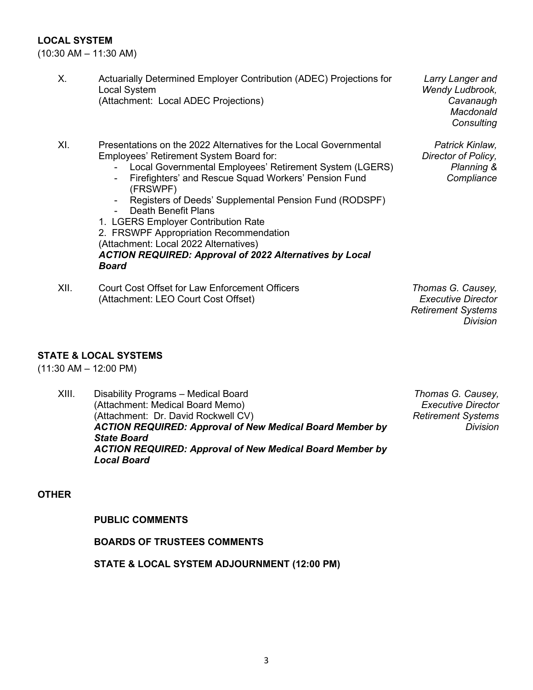## **LOCAL SYSTEM**

(10:30 AM – 11:30 AM)

- X. Actuarially Determined Employer Contribution (ADEC) Projections for Local System (Attachment: Local ADEC Projections)
- XI. Presentations on the 2022 Alternatives for the Local Governmental Employees' Retirement System Board for:
	- Local Governmental Employees' Retirement System (LGERS)
	- Firefighters' and Rescue Squad Workers' Pension Fund (FRSWPF)
	- Registers of Deeds' Supplemental Pension Fund (RODSPF)<br>- Death Benefit Plans
	- Death Benefit Plans

1. LGERS Employer Contribution Rate 2. FRSWPF Appropriation Recommendation (Attachment: Local 2022 Alternatives) *ACTION REQUIRED: Approval of 2022 Alternatives by Local Board*

XII. Court Cost Offset for Law Enforcement Officers (Attachment: LEO Court Cost Offset)

*Larry Langer and Wendy Ludbrook, Cavanaugh Macdonald Consulting*

*Patrick Kinlaw, Director of Policy,* 

> *Planning & Compliance*

*Thomas G. Causey, Executive Director Retirement Systems Division*

## **STATE & LOCAL SYSTEMS**

(11:30 AM – 12:00 PM)

XIII. Disability Programs – Medical Board (Attachment: Medical Board Memo) (Attachment: Dr. David Rockwell CV) *ACTION REQUIRED: Approval of New Medical Board Member by State Board ACTION REQUIRED: Approval of New Medical Board Member by Local Board*

*Thomas G. Causey, Executive Director Retirement Systems Division*

#### **OTHER**

#### **PUBLIC COMMENTS**

**BOARDS OF TRUSTEES COMMENTS**

**STATE & LOCAL SYSTEM ADJOURNMENT (12:00 PM)**